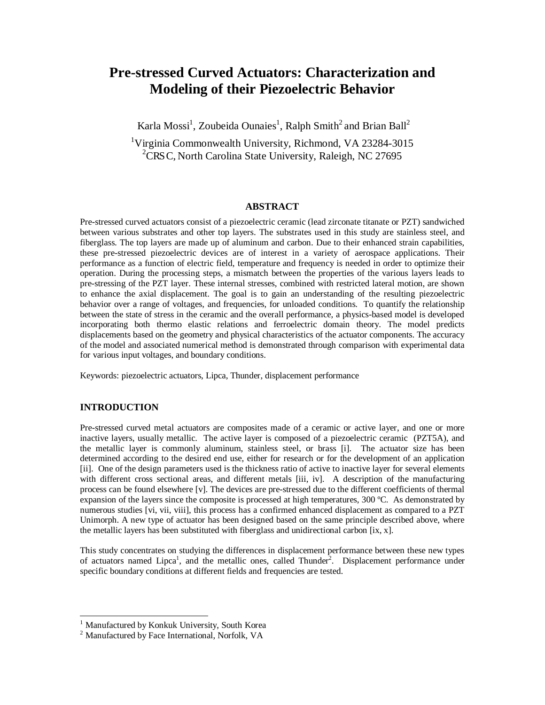# **Pre-stressed Curved Actuators: Characterization and Modeling of their Piezoelectric Behavior**

Karla Mossi<sup>1</sup>, Zoubeida Ounaies<sup>1</sup>, Ralph Smith<sup>2</sup> and Brian Ball<sup>2</sup>

<sup>1</sup>Virginia Commonwealth University, Richmond, VA 23284-3015 <sup>2</sup>CRSC, North Carolina State University, Raleigh, NC 27695

## **ABSTRACT**

Pre-stressed curved actuators consist of a piezoelectric ceramic (lead zirconate titanate or PZT) sandwiched between various substrates and other top layers. The substrates used in this study are stainless steel, and fiberglass. The top layers are made up of aluminum and carbon. Due to their enhanced strain capabilities, these pre-stressed piezoelectric devices are of interest in a variety of aerospace applications. Their performance as a function of electric field, temperature and frequency is needed in order to optimize their operation. During the processing steps, a mismatch between the properties of the various layers leads to pre-stressing of the PZT layer. These internal stresses, combined with restricted lateral motion, are shown to enhance the axial displacement. The goal is to gain an understanding of the resulting piezoelectric behavior over a range of voltages, and frequencies, for unloaded conditions. To quantify the relationship between the state of stress in the ceramic and the overall performance, a physics-based model is developed incorporating both thermo elastic relations and ferroelectric domain theory. The model predicts displacements based on the geometry and physical characteristics of the actuator components. The accuracy of the model and associated numerical method is demonstrated through comparison with experimental data for various input voltages, and boundary conditions.

Keywords: piezoelectric actuators, Lipca, Thunder, displacement performance

## **INTRODUCTION**

Pre-stressed curved metal actuators are composites made of a ceramic or active layer, and one or more inactive layers, usually metallic. The active layer is composed of a piezoelectric ceramic (PZT5A), and the metallic layer is commonly aluminum, stainless steel, or brass [i]. The actuator size has been determined according to the desired end use, either for research or for the development of an application [ii]. One of the design parameters used is the thickness ratio of active to inactive layer for several elements with different cross sectional areas, and different metals [iii, iv]. A description of the manufacturing process can be found elsewhere [v]. The devices are pre-stressed due to the different coefficients of thermal expansion of the layers since the composite is processed at high temperatures, 300 ºC. As demonstrated by numerous studies [vi, vii, viii], this process has a confirmed enhanced displacement as compared to a PZT Unimorph. A new type of actuator has been designed based on the same principle described above, where the metallic layers has been substituted with fiberglass and unidirectional carbon [ix, x].

This study concentrates on studying the differences in displacement performance between these new types of actuators named Lipca<sup>1</sup>, and the metallic ones, called Thunder<sup>2</sup>. Displacement performance under specific boundary conditions at different fields and frequencies are tested.

<sup>&</sup>lt;sup>1</sup> Manufactured by Konkuk University, South Korea

<sup>2</sup> Manufactured by Face International, Norfolk, VA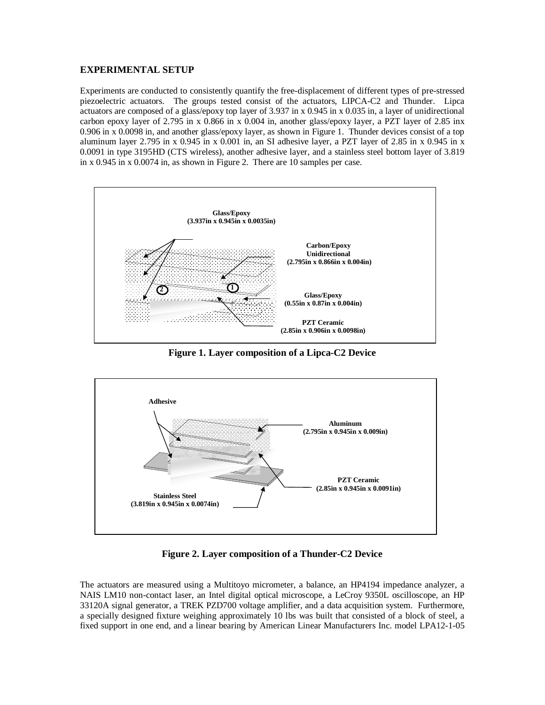## **EXPERIMENTAL SETUP**

Experiments are conducted to consistently quantify the free-displacement of different types of pre-stressed piezoelectric actuators. The groups tested consist of the actuators, LIPCA-C2 and Thunder. Lipca actuators are composed of a glass/epoxy top layer of 3.937 in x 0.945 in x 0.035 in, a layer of unidirectional carbon epoxy layer of 2.795 in x 0.866 in x 0.004 in, another glass/epoxy layer, a PZT layer of 2.85 inx 0.906 in x 0.0098 in, and another glass/epoxy layer, as shown in Figure 1. Thunder devices consist of a top aluminum layer 2.795 in x 0.945 in x 0.001 in, an SI adhesive layer, a PZT layer of 2.85 in x 0.945 in x 0.0091 in type 3195HD (CTS wireless), another adhesive layer, and a stainless steel bottom layer of 3.819 in x 0.945 in x 0.0074 in, as shown in Figure 2. There are 10 samples per case.



**Figure 1. Layer composition of a Lipca-C2 Device**



**Figure 2. Layer composition of a Thunder-C2 Device**

The actuators are measured using a Multitoyo micrometer, a balance, an HP4194 impedance analyzer, a NAIS LM10 non-contact laser, an Intel digital optical microscope, a LeCroy 9350L oscilloscope, an HP 33120A signal generator, a TREK PZD700 voltage amplifier, and a data acquisition system. Furthermore, a specially designed fixture weighing approximately 10 lbs was built that consisted of a block of steel, a fixed support in one end, and a linear bearing by American Linear Manufacturers Inc. model LPA12-1-05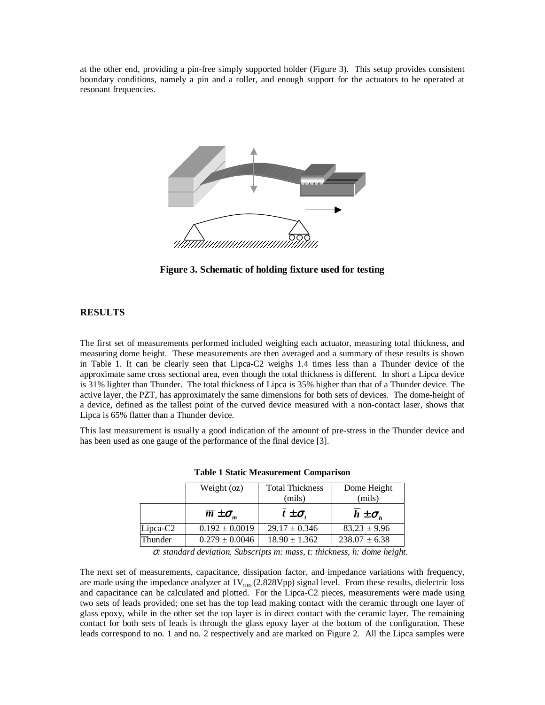at the other end, providing a pin-free simply supported holder (Figure 3). This setup provides consistent boundary conditions, namely a pin and a roller, and enough support for the actuators to be operated at resonant frequencies.



**Figure 3. Schematic of holding fixture used for testing**

### **RESULTS**

The first set of measurements performed included weighing each actuator, measuring total thickness, and measuring dome height. These measurements are then averaged and a summary of these results is shown in Table 1. It can be clearly seen that Lipca-C2 weighs 1.4 times less than a Thunder device of the approximate same cross sectional area, even though the total thickness is different. In short a Lipca device is 31% lighter than Thunder. The total thickness of Lipca is 35% higher than that of a Thunder device. The active layer, the PZT, has approximately the same dimensions for both sets of devices. The dome-height of a device, defined as the tallest point of the curved device measured with a non-contact laser, shows that Lipca is 65% flatter than a Thunder device.

This last measurement is usually a good indication of the amount of pre-stress in the Thunder device and has been used as one gauge of the performance of the final device [3].

|                      | Weight (oz)                   | <b>Total Thickness</b><br>(mils) | Dome Height<br>(mils) |  |
|----------------------|-------------------------------|----------------------------------|-----------------------|--|
|                      | $\overline{m} \pm \sigma_{m}$ | $t\pm\sigma$ ,                   | $h \pm \sigma_{h}$    |  |
| Lipca-C <sub>2</sub> | $0.192 \pm 0.0019$            | $29.17 \pm 0.346$                | $83.23 \pm 9.96$      |  |
| Thunder              | $0.279 \pm 0.0046$            | $18.90 \pm 1.362$                | $238.07 \pm 6.38$     |  |

**Table 1 Static Measurement Comparison**

<sup>σ</sup>*: standard deviation. Subscripts m: mass, t: thickness, h: dome height.*

The next set of measurements, capacitance, dissipation factor, and impedance variations with frequency, are made using the impedance analyzer at  $1V_{rms}$  (2.828Vpp) signal level. From these results, dielectric loss and capacitance can be calculated and plotted. For the Lipca-C2 pieces, measurements were made using two sets of leads provided; one set has the top lead making contact with the ceramic through one layer of glass epoxy, while in the other set the top layer is in direct contact with the ceramic layer. The remaining contact for both sets of leads is through the glass epoxy layer at the bottom of the configuration. These leads correspond to no. 1 and no. 2 respectively and are marked on Figure 2. All the Lipca samples were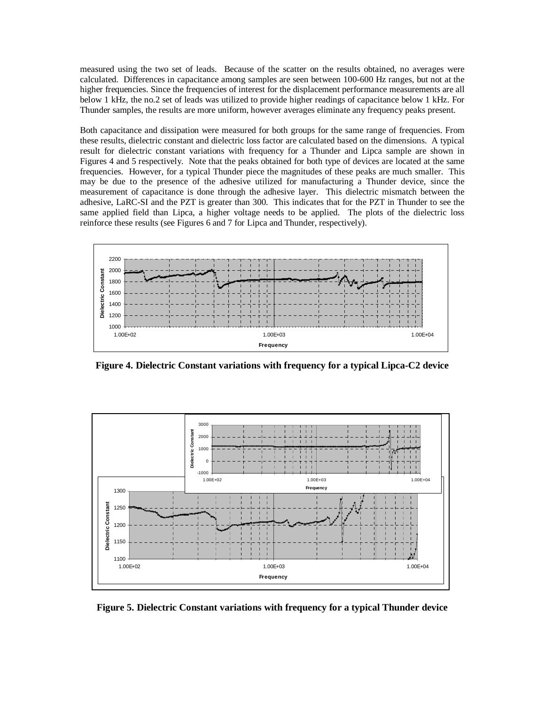measured using the two set of leads. Because of the scatter on the results obtained, no averages were calculated. Differences in capacitance among samples are seen between 100-600 Hz ranges, but not at the higher frequencies. Since the frequencies of interest for the displacement performance measurements are all below 1 kHz, the no.2 set of leads was utilized to provide higher readings of capacitance below 1 kHz. For Thunder samples, the results are more uniform, however averages eliminate any frequency peaks present.

Both capacitance and dissipation were measured for both groups for the same range of frequencies. From these results, dielectric constant and dielectric loss factor are calculated based on the dimensions. A typical result for dielectric constant variations with frequency for a Thunder and Lipca sample are shown in Figures 4 and 5 respectively. Note that the peaks obtained for both type of devices are located at the same frequencies. However, for a typical Thunder piece the magnitudes of these peaks are much smaller. This may be due to the presence of the adhesive utilized for manufacturing a Thunder device, since the measurement of capacitance is done through the adhesive layer. This dielectric mismatch between the adhesive, LaRC-SI and the PZT is greater than 300. This indicates that for the PZT in Thunder to see the same applied field than Lipca, a higher voltage needs to be applied. The plots of the dielectric loss reinforce these results (see Figures 6 and 7 for Lipca and Thunder, respectively).



**Figure 4. Dielectric Constant variations with frequency for a typical Lipca-C2 device**



**Figure 5. Dielectric Constant variations with frequency for a typical Thunder device**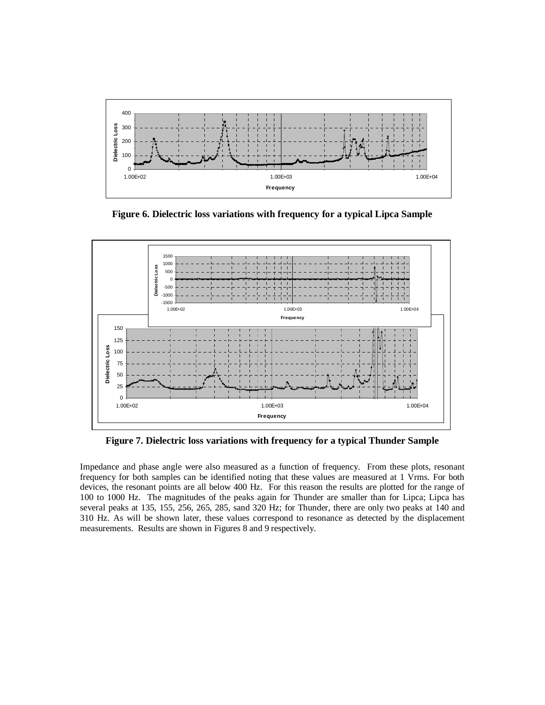

**Figure 6. Dielectric loss variations with frequency for a typical Lipca Sample**



**Figure 7. Dielectric loss variations with frequency for a typical Thunder Sample**

Impedance and phase angle were also measured as a function of frequency. From these plots, resonant frequency for both samples can be identified noting that these values are measured at 1 Vrms. For both devices, the resonant points are all below 400 Hz. For this reason the results are plotted for the range of 100 to 1000 Hz. The magnitudes of the peaks again for Thunder are smaller than for Lipca; Lipca has several peaks at 135, 155, 256, 265, 285, sand 320 Hz; for Thunder, there are only two peaks at 140 and 310 Hz. As will be shown later, these values correspond to resonance as detected by the displacement measurements. Results are shown in Figures 8 and 9 respectively.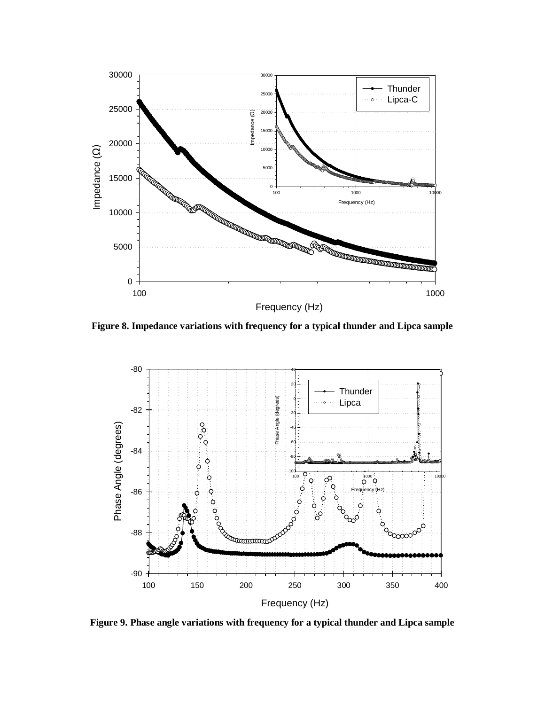

**Figure 8. Impedance variations with frequency for a typical thunder and Lipca sample**



**Figure 9. Phase angle variations with frequency for a typical thunder and Lipca sample**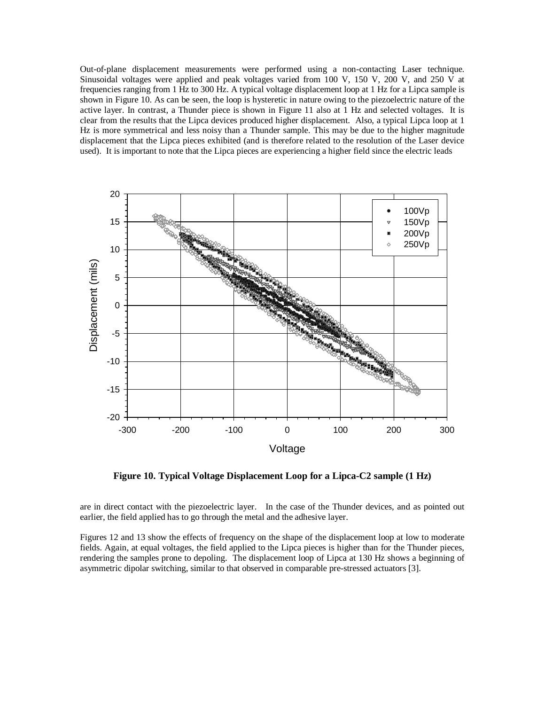Out-of-plane displacement measurements were performed using a non-contacting Laser technique. Sinusoidal voltages were applied and peak voltages varied from 100 V, 150 V, 200 V, and 250 V at frequencies ranging from 1 Hz to 300 Hz. A typical voltage displacement loop at 1 Hz for a Lipca sample is shown in Figure 10. As can be seen, the loop is hysteretic in nature owing to the piezoelectric nature of the active layer. In contrast, a Thunder piece is shown in Figure 11 also at 1 Hz and selected voltages. It is clear from the results that the Lipca devices produced higher displacement. Also, a typical Lipca loop at 1 Hz is more symmetrical and less noisy than a Thunder sample. This may be due to the higher magnitude displacement that the Lipca pieces exhibited (and is therefore related to the resolution of the Laser device used). It is important to note that the Lipca pieces are experiencing a higher field since the electric leads



**Figure 10. Typical Voltage Displacement Loop for a Lipca-C2 sample (1 Hz)**

are in direct contact with the piezoelectric layer. In the case of the Thunder devices, and as pointed out earlier, the field applied has to go through the metal and the adhesive layer.

Figures 12 and 13 show the effects of frequency on the shape of the displacement loop at low to moderate fields. Again, at equal voltages, the field applied to the Lipca pieces is higher than for the Thunder pieces, rendering the samples prone to depoling. The displacement loop of Lipca at 130 Hz shows a beginning of asymmetric dipolar switching, similar to that observed in comparable pre-stressed actuators [3].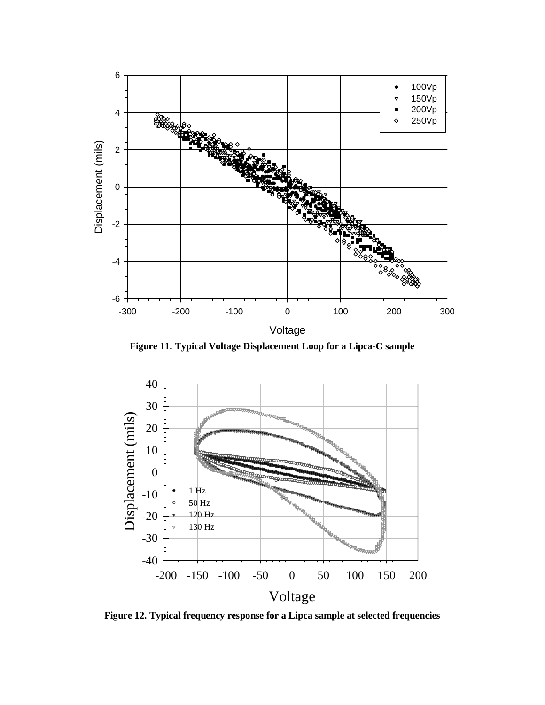

**Figure 11. Typical Voltage Displacement Loop for a Lipca-C sample**



**Figure 12. Typical frequency response for a Lipca sample at selected frequencies**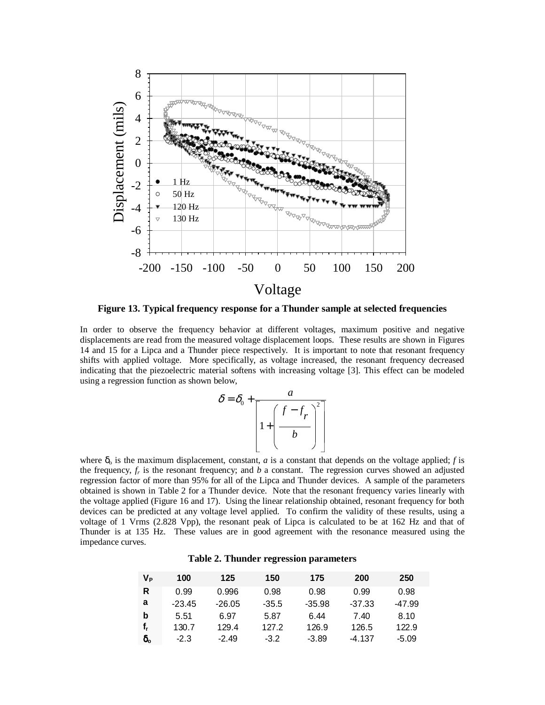

**Figure 13. Typical frequency response for a Thunder sample at selected frequencies**

In order to observe the frequency behavior at different voltages, maximum positive and negative displacements are read from the measured voltage displacement loops. These results are shown in Figures 14 and 15 for a Lipca and a Thunder piece respectively. It is important to note that resonant frequency shifts with applied voltage. More specifically, as voltage increased, the resonant frequency decreased indicating that the piezoelectric material softens with increasing voltage [3]. This effect can be modeled using a regression function as shown below,

$$
\delta = \delta_0 + \frac{a}{\left[1 + \left(\frac{f - f_r}{b}\right)^2\right]}
$$

where  $\delta_0$  is the maximum displacement, constant, *a* is a constant that depends on the voltage applied; *f* is the frequency,  $f_r$  is the resonant frequency; and  $b$  a constant. The regression curves showed an adjusted regression factor of more than 95% for all of the Lipca and Thunder devices. A sample of the parameters obtained is shown in Table 2 for a Thunder device. Note that the resonant frequency varies linearly with the voltage applied (Figure 16 and 17). Using the linear relationship obtained, resonant frequency for both devices can be predicted at any voltage level applied. To confirm the validity of these results, using a voltage of 1 Vrms (2.828 Vpp), the resonant peak of Lipca is calculated to be at 162 Hz and that of Thunder is at 135 Hz. These values are in good agreement with the resonance measured using the impedance curves.

|  | Table 2. Thunder regression parameters |  |
|--|----------------------------------------|--|
|  |                                        |  |

| Vթ               | 100      | 125      | 150     | 175      | 200      | 250     |
|------------------|----------|----------|---------|----------|----------|---------|
| R                | 0.99     | 0.996    | 0.98    | 0.98     | 0.99     | 0.98    |
| a                | $-23.45$ | $-26.05$ | $-35.5$ | $-35.98$ | $-37.33$ | -47.99  |
| b                | 5.51     | 6.97     | 5.87    | 6.44     | 7.40     | 8.10    |
| f,               | 130.7    | 129.4    | 127.2   | 126.9    | 126.5    | 122.9   |
| $\delta_{\rm o}$ | $-2.3$   | $-2.49$  | $-3.2$  | $-3.89$  | -4.137   | $-5.09$ |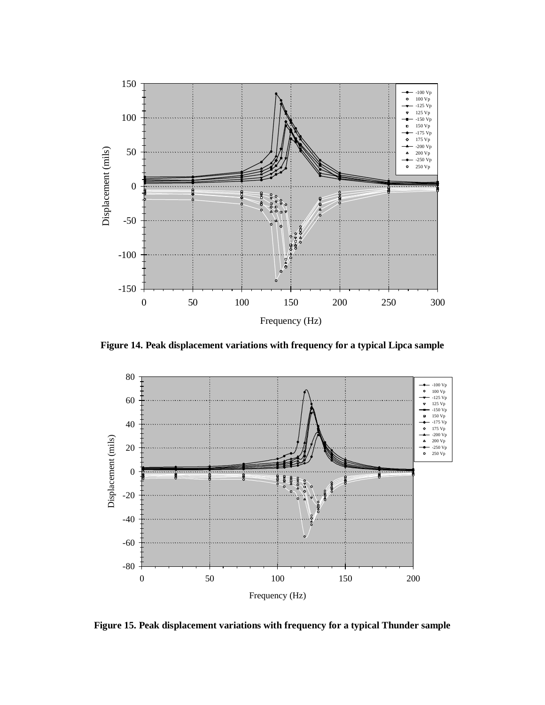

**Figure 14. Peak displacement variations with frequency for a typical Lipca sample**



**Figure 15. Peak displacement variations with frequency for a typical Thunder sample**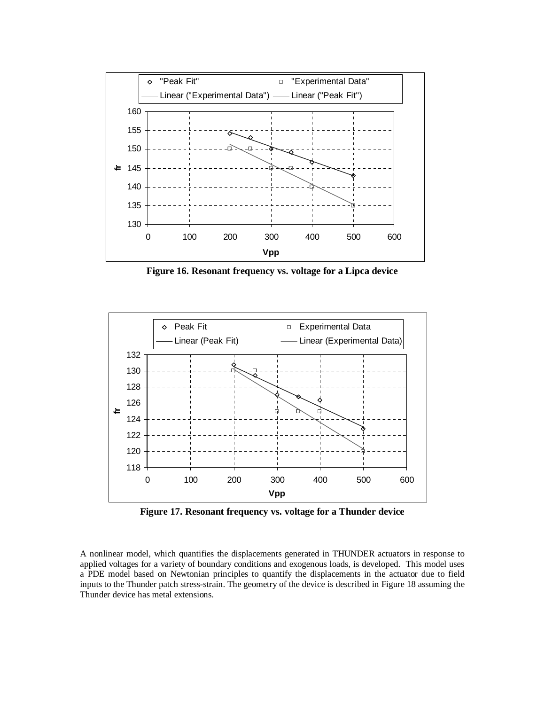

**Figure 16. Resonant frequency vs. voltage for a Lipca device**



**Figure 17. Resonant frequency vs. voltage for a Thunder device**

A nonlinear model, which quantifies the displacements generated in THUNDER actuators in response to applied voltages for a variety of boundary conditions and exogenous loads, is developed. This model uses a PDE model based on Newtonian principles to quantify the displacements in the actuator due to field inputs to the Thunder patch stress-strain. The geometry of the device is described in Figure 18 assuming the Thunder device has metal extensions.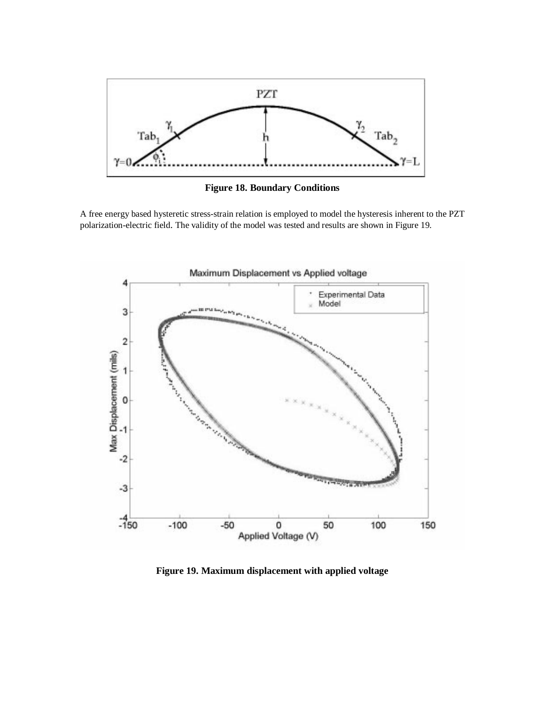

**Figure 18. Boundary Conditions**

A free energy based hysteretic stress-strain relation is employed to model the hysteresis inherent to the PZT polarization-electric field. The validity of the model was tested and results are shown in Figure 19.



**Figure 19. Maximum displacement with applied voltage**